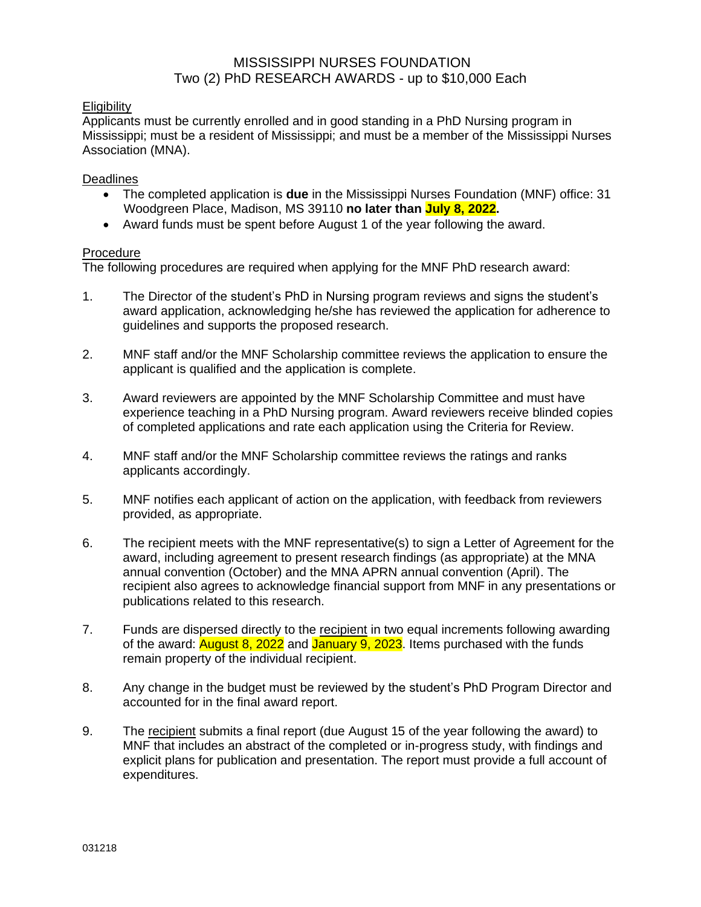#### **Eligibility**

Applicants must be currently enrolled and in good standing in a PhD Nursing program in Mississippi; must be a resident of Mississippi; and must be a member of the Mississippi Nurses Association (MNA).

#### Deadlines

- The completed application is **due** in the Mississippi Nurses Foundation (MNF) office: 31 Woodgreen Place, Madison, MS 39110 **no later than July 8, 2022.**
- Award funds must be spent before August 1 of the year following the award.

#### **Procedure**

The following procedures are required when applying for the MNF PhD research award:

- 1. The Director of the student's PhD in Nursing program reviews and signs the student's award application, acknowledging he/she has reviewed the application for adherence to guidelines and supports the proposed research.
- 2. MNF staff and/or the MNF Scholarship committee reviews the application to ensure the applicant is qualified and the application is complete.
- 3. Award reviewers are appointed by the MNF Scholarship Committee and must have experience teaching in a PhD Nursing program. Award reviewers receive blinded copies of completed applications and rate each application using the Criteria for Review.
- 4. MNF staff and/or the MNF Scholarship committee reviews the ratings and ranks applicants accordingly.
- 5. MNF notifies each applicant of action on the application, with feedback from reviewers provided, as appropriate.
- 6. The recipient meets with the MNF representative(s) to sign a Letter of Agreement for the award, including agreement to present research findings (as appropriate) at the MNA annual convention (October) and the MNA APRN annual convention (April). The recipient also agrees to acknowledge financial support from MNF in any presentations or publications related to this research.
- 7. Funds are dispersed directly to the recipient in two equal increments following awarding of the award: **August 8, 2022** and January 9, 2023. Items purchased with the funds remain property of the individual recipient.
- 8. Any change in the budget must be reviewed by the student's PhD Program Director and accounted for in the final award report.
- 9. The recipient submits a final report (due August 15 of the year following the award) to MNF that includes an abstract of the completed or in-progress study, with findings and explicit plans for publication and presentation. The report must provide a full account of expenditures.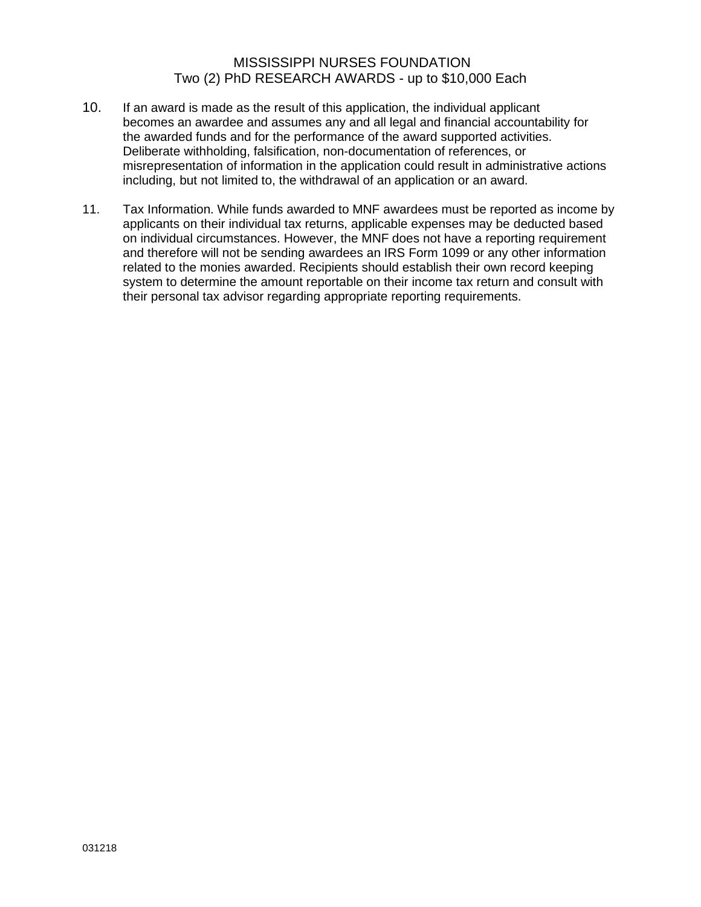- 10. If an award is made as the result of this application, the individual applicant becomes an awardee and assumes any and all legal and financial accountability for the awarded funds and for the performance of the award supported activities. Deliberate withholding, falsification, non-documentation of references, or misrepresentation of information in the application could result in administrative actions including, but not limited to, the withdrawal of an application or an award.
- 11. Tax Information. While funds awarded to MNF awardees must be reported as income by applicants on their individual tax returns, applicable expenses may be deducted based on individual circumstances. However, the MNF does not have a reporting requirement and therefore will not be sending awardees an IRS Form 1099 or any other information related to the monies awarded. Recipients should establish their own record keeping system to determine the amount reportable on their income tax return and consult with their personal tax advisor regarding appropriate reporting requirements.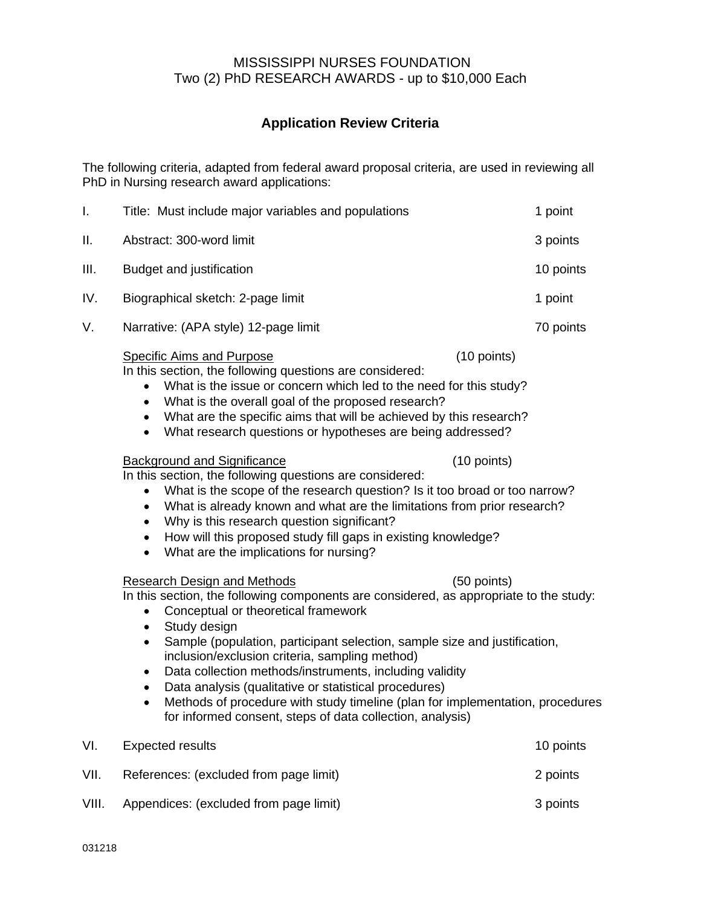# **Application Review Criteria**

The following criteria, adapted from federal award proposal criteria, are used in reviewing all PhD in Nursing research award applications:

| I.    | Title: Must include major variables and populations                                                                                                                                                                                                                                                                                                                                                                                                                                                                                                                                                                                        | 1 point   |  |  |
|-------|--------------------------------------------------------------------------------------------------------------------------------------------------------------------------------------------------------------------------------------------------------------------------------------------------------------------------------------------------------------------------------------------------------------------------------------------------------------------------------------------------------------------------------------------------------------------------------------------------------------------------------------------|-----------|--|--|
| Ш.    | Abstract: 300-word limit                                                                                                                                                                                                                                                                                                                                                                                                                                                                                                                                                                                                                   | 3 points  |  |  |
| III.  | Budget and justification                                                                                                                                                                                                                                                                                                                                                                                                                                                                                                                                                                                                                   | 10 points |  |  |
| IV.   | Biographical sketch: 2-page limit                                                                                                                                                                                                                                                                                                                                                                                                                                                                                                                                                                                                          | 1 point   |  |  |
| V.    | Narrative: (APA style) 12-page limit                                                                                                                                                                                                                                                                                                                                                                                                                                                                                                                                                                                                       | 70 points |  |  |
|       | <b>Specific Aims and Purpose</b><br>(10 points)<br>In this section, the following questions are considered:<br>What is the issue or concern which led to the need for this study?<br>What is the overall goal of the proposed research?<br>$\bullet$<br>• What are the specific aims that will be achieved by this research?<br>What research questions or hypotheses are being addressed?<br>$\bullet$                                                                                                                                                                                                                                    |           |  |  |
|       | (10 points)<br><b>Background and Significance</b><br>In this section, the following questions are considered:<br>What is the scope of the research question? Is it too broad or too narrow?<br>$\bullet$<br>What is already known and what are the limitations from prior research?<br>$\bullet$<br>Why is this research question significant?<br>How will this proposed study fill gaps in existing knowledge?<br>What are the implications for nursing?<br>$\bullet$                                                                                                                                                                     |           |  |  |
|       | <b>Research Design and Methods</b><br>(50 points)<br>In this section, the following components are considered, as appropriate to the study:<br>Conceptual or theoretical framework<br>Study design<br>$\bullet$<br>Sample (population, participant selection, sample size and justification,<br>$\bullet$<br>inclusion/exclusion criteria, sampling method)<br>Data collection methods/instruments, including validity<br>$\bullet$<br>Data analysis (qualitative or statistical procedures)<br>Methods of procedure with study timeline (plan for implementation, procedures<br>for informed consent, steps of data collection, analysis) |           |  |  |
| VI.   | <b>Expected results</b>                                                                                                                                                                                                                                                                                                                                                                                                                                                                                                                                                                                                                    | 10 points |  |  |
| VII.  | References: (excluded from page limit)                                                                                                                                                                                                                                                                                                                                                                                                                                                                                                                                                                                                     | 2 points  |  |  |
| VIII. | Appendices: (excluded from page limit)                                                                                                                                                                                                                                                                                                                                                                                                                                                                                                                                                                                                     |           |  |  |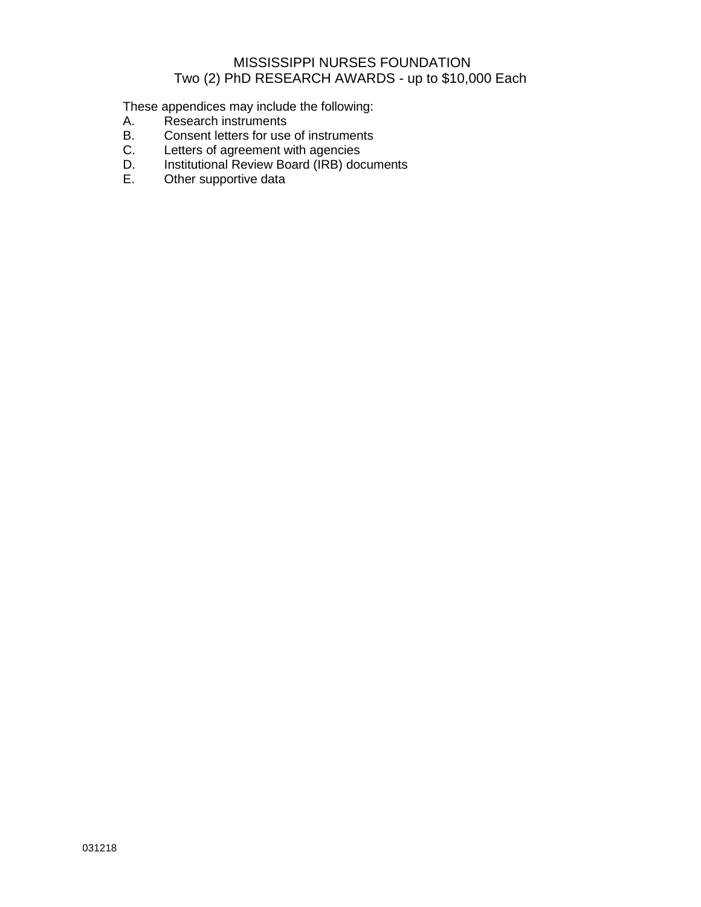These appendices may include the following:<br>A. Research instruments

- A. Research instruments<br>B. Consent letters for use
- Consent letters for use of instruments
- C. Letters of agreement with agencies
- D. Institutional Review Board (IRB) documents<br>E. Other supportive data
- Other supportive data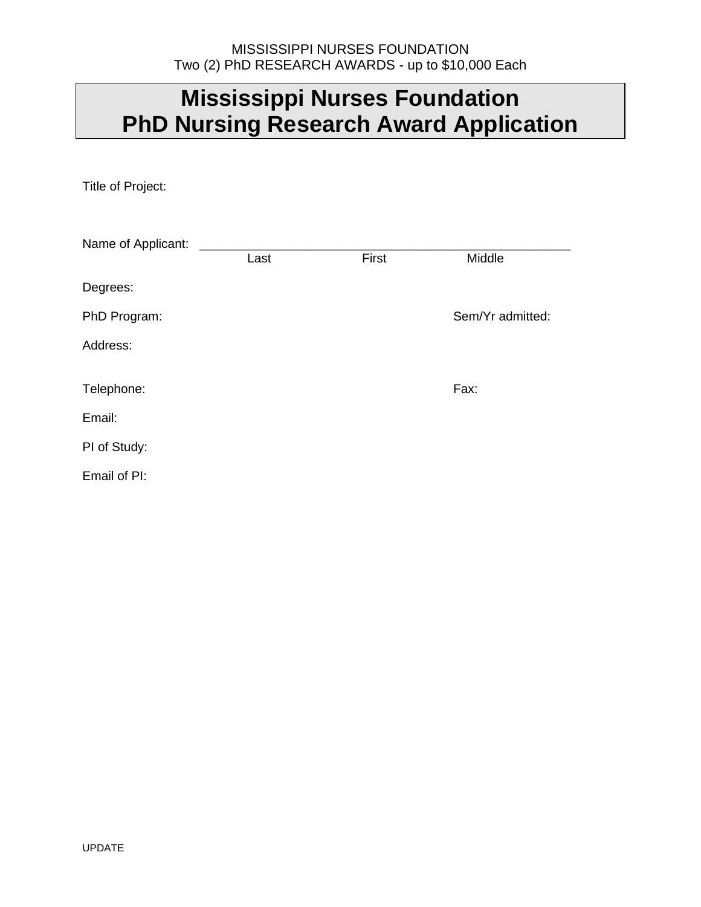# **Mississippi Nurses Foundation PhD Nursing Research Award Application**

Title of Project:

| Name of Applicant: |      |       |                  |
|--------------------|------|-------|------------------|
|                    | Last | First | Middle           |
| Degrees:           |      |       |                  |
| PhD Program:       |      |       | Sem/Yr admitted: |
| Address:           |      |       |                  |
| Telephone:         |      |       | Fax:             |
| Email:             |      |       |                  |
| PI of Study:       |      |       |                  |
| Email of PI:       |      |       |                  |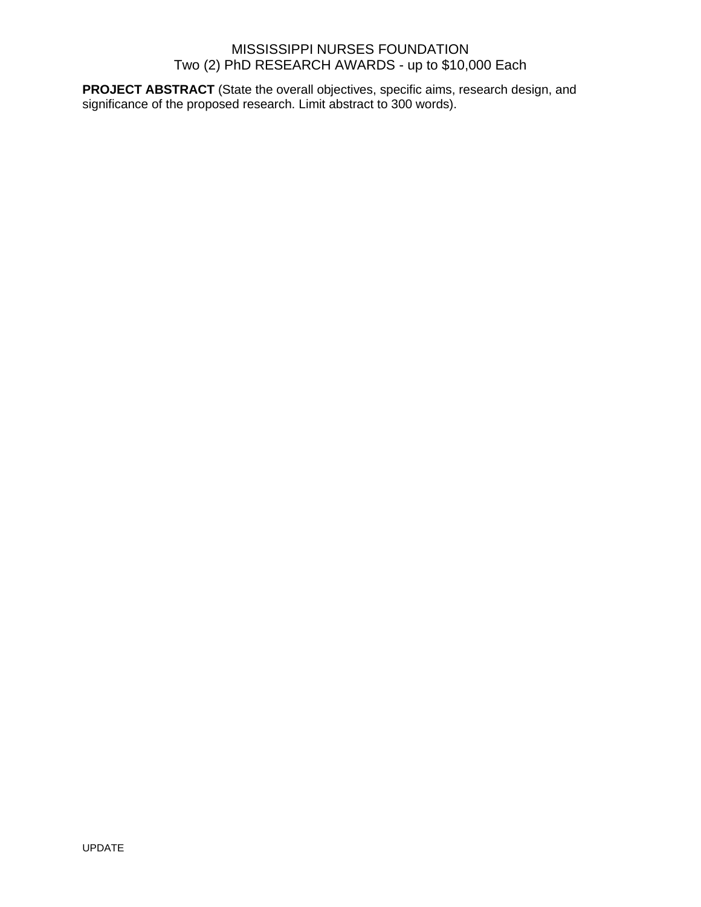**PROJECT ABSTRACT** (State the overall objectives, specific aims, research design, and significance of the proposed research. Limit abstract to 300 words).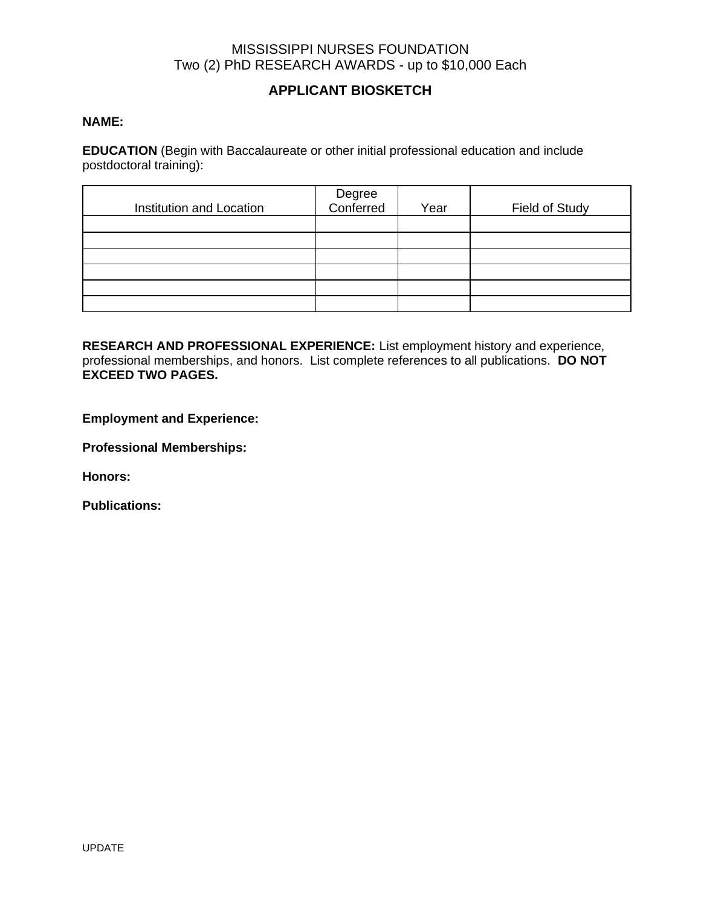# **APPLICANT BIOSKETCH**

#### **NAME:**

**EDUCATION** (Begin with Baccalaureate or other initial professional education and include postdoctoral training):

| Institution and Location | Degree<br>Conferred | Year | Field of Study |
|--------------------------|---------------------|------|----------------|
|                          |                     |      |                |
|                          |                     |      |                |
|                          |                     |      |                |
|                          |                     |      |                |
|                          |                     |      |                |
|                          |                     |      |                |

**RESEARCH AND PROFESSIONAL EXPERIENCE:** List employment history and experience, professional memberships, and honors. List complete references to all publications. **DO NOT EXCEED TWO PAGES.**

**Employment and Experience:**

**Professional Memberships:**

**Honors:**

**Publications:**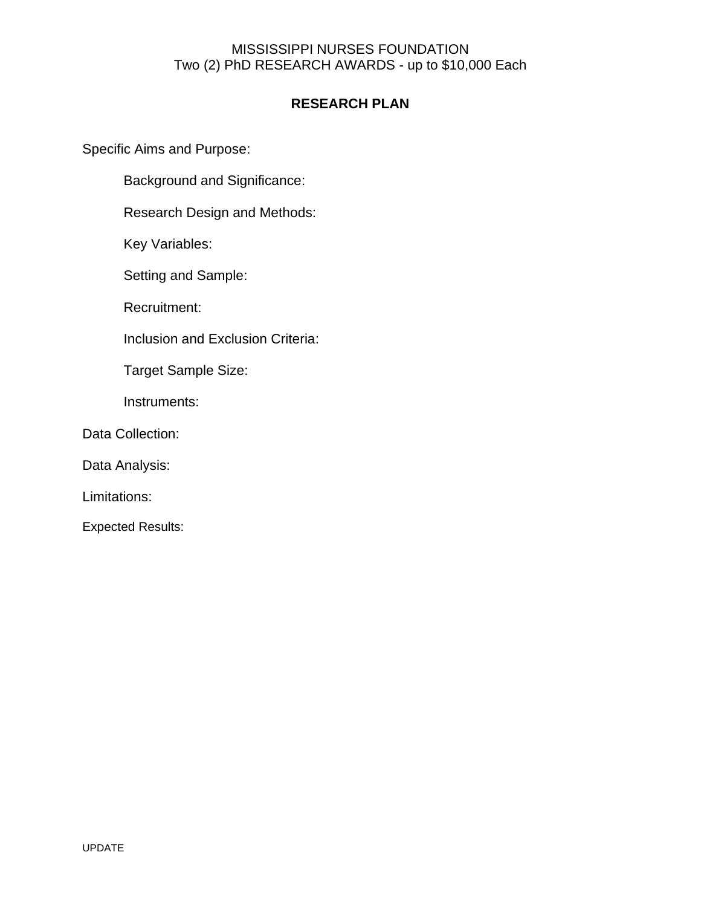# **RESEARCH PLAN**

Specific Aims and Purpose:

Background and Significance:

Research Design and Methods:

Key Variables:

Setting and Sample:

Recruitment:

Inclusion and Exclusion Criteria:

Target Sample Size:

Instruments:

Data Collection:

Data Analysis:

Limitations:

Expected Results: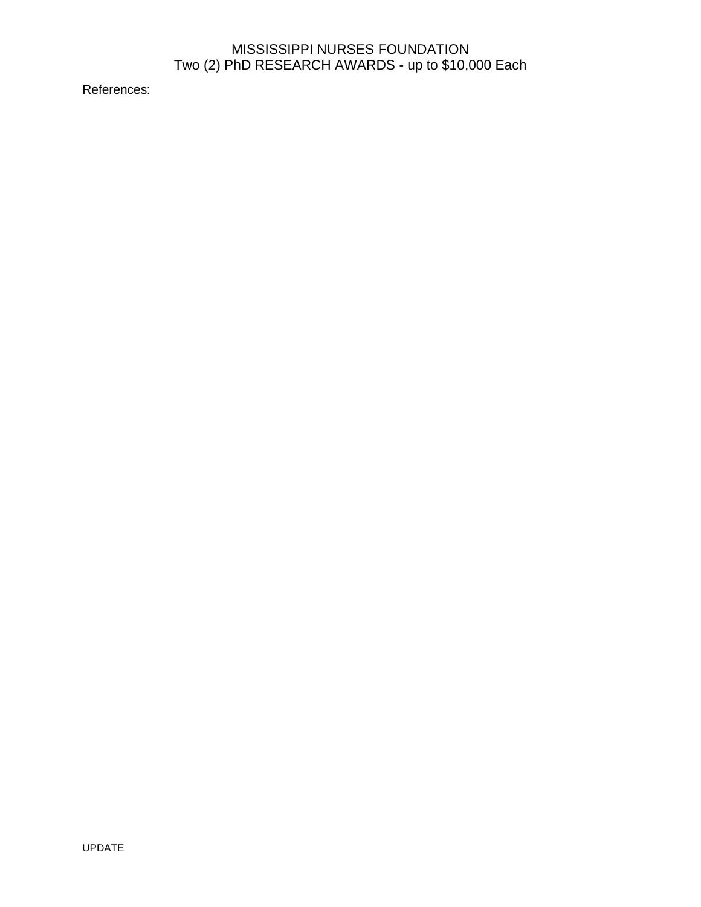References: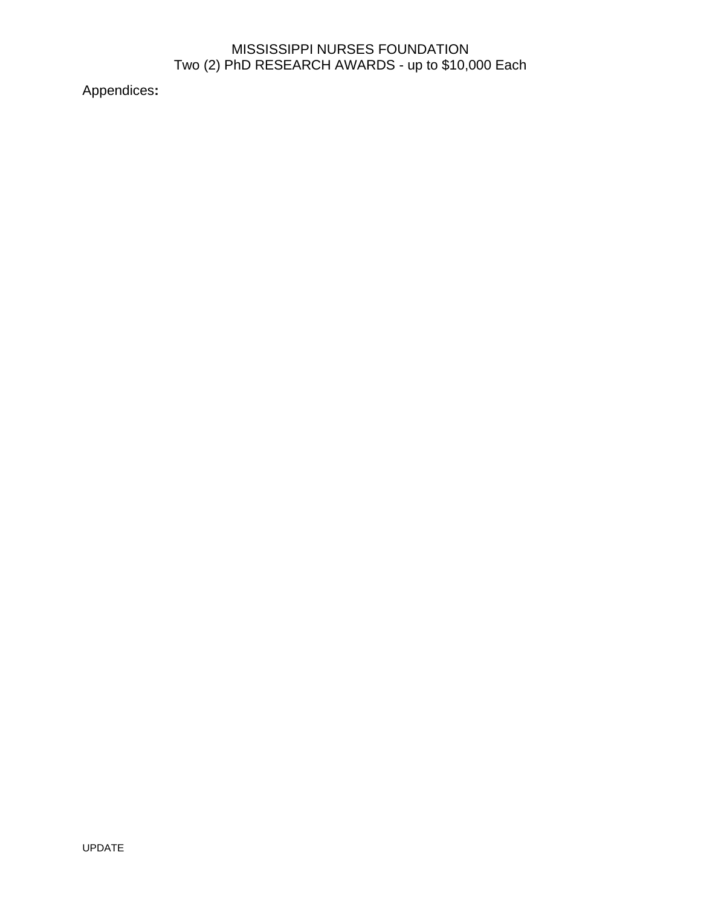Appendices**:**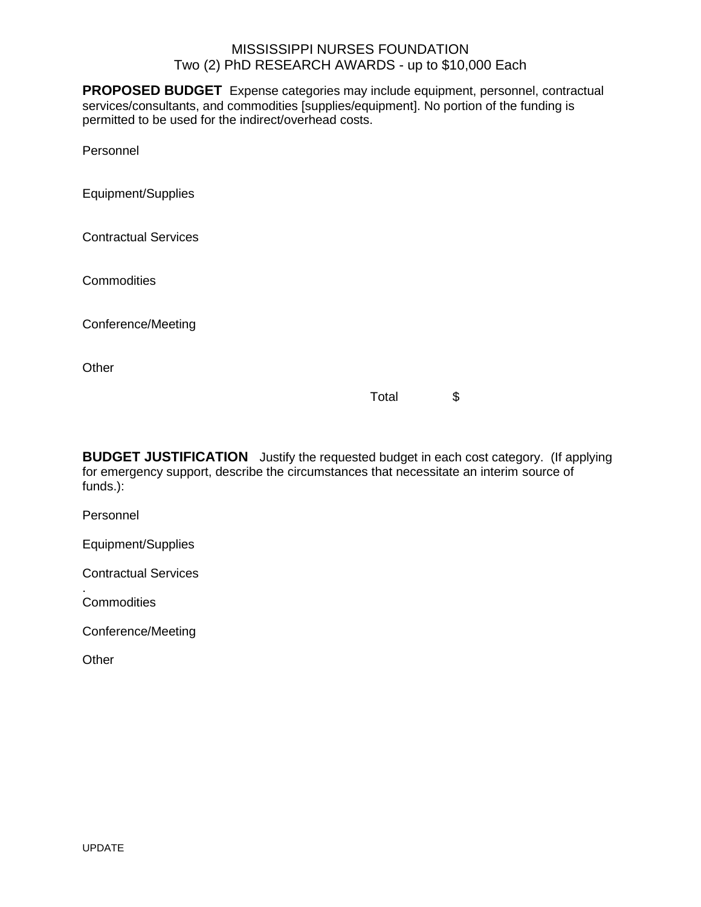**PROPOSED BUDGET** Expense categories may include equipment, personnel, contractual services/consultants, and commodities [supplies/equipment]. No portion of the funding is permitted to be used for the indirect/overhead costs.

Personnel

Equipment/Supplies

Contractual Services

**Commodities** 

Conference/Meeting

Other **Community Community Community** Community Community Community Community Community Community Community Community

Total \$

**BUDGET JUSTIFICATION** Justify the requested budget in each cost category. (If applying for emergency support, describe the circumstances that necessitate an interim source of funds.):

Personnel

Equipment/Supplies

Contractual Services

. Commodities

Conference/Meeting

**Other**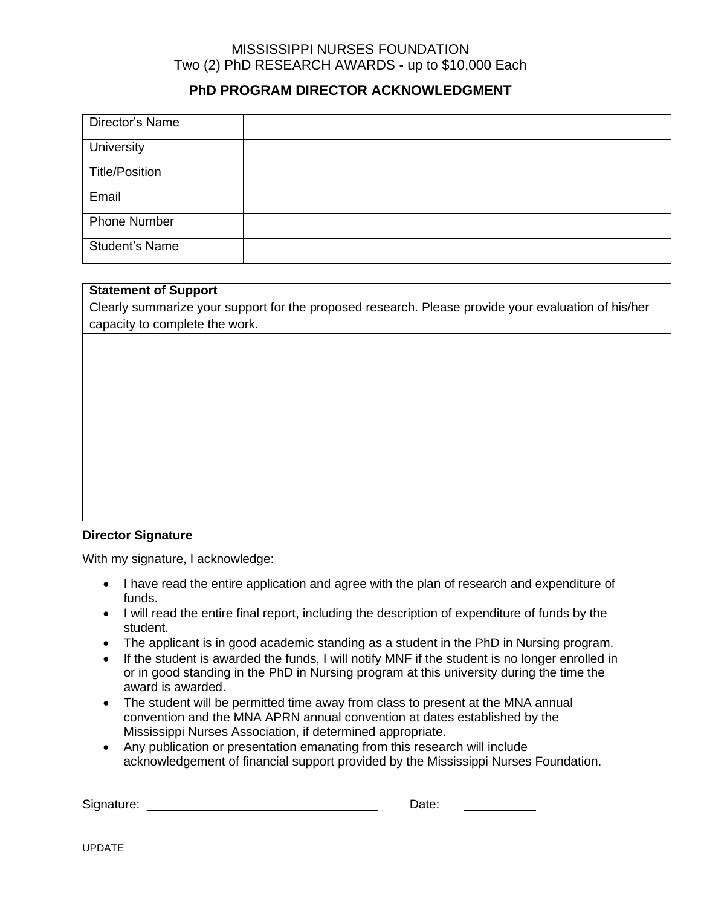## **PhD PROGRAM DIRECTOR ACKNOWLEDGMENT**

| Director's Name       |  |
|-----------------------|--|
| University            |  |
| <b>Title/Position</b> |  |
| Email                 |  |
| <b>Phone Number</b>   |  |
| <b>Student's Name</b> |  |

#### **Statement of Support**

Clearly summarize your support for the proposed research. Please provide your evaluation of his/her capacity to complete the work.

#### **Director Signature**

With my signature, I acknowledge:

- I have read the entire application and agree with the plan of research and expenditure of funds.
- I will read the entire final report, including the description of expenditure of funds by the student.
- The applicant is in good academic standing as a student in the PhD in Nursing program.
- If the student is awarded the funds, I will notify MNF if the student is no longer enrolled in or in good standing in the PhD in Nursing program at this university during the time the award is awarded.
- The student will be permitted time away from class to present at the MNA annual convention and the MNA APRN annual convention at dates established by the Mississippi Nurses Association, if determined appropriate.
- Any publication or presentation emanating from this research will include acknowledgement of financial support provided by the Mississippi Nurses Foundation.

Signature: \_\_\_\_\_\_\_\_\_\_\_\_\_\_\_\_\_\_\_\_\_\_\_\_\_\_\_\_\_\_\_\_\_ Date: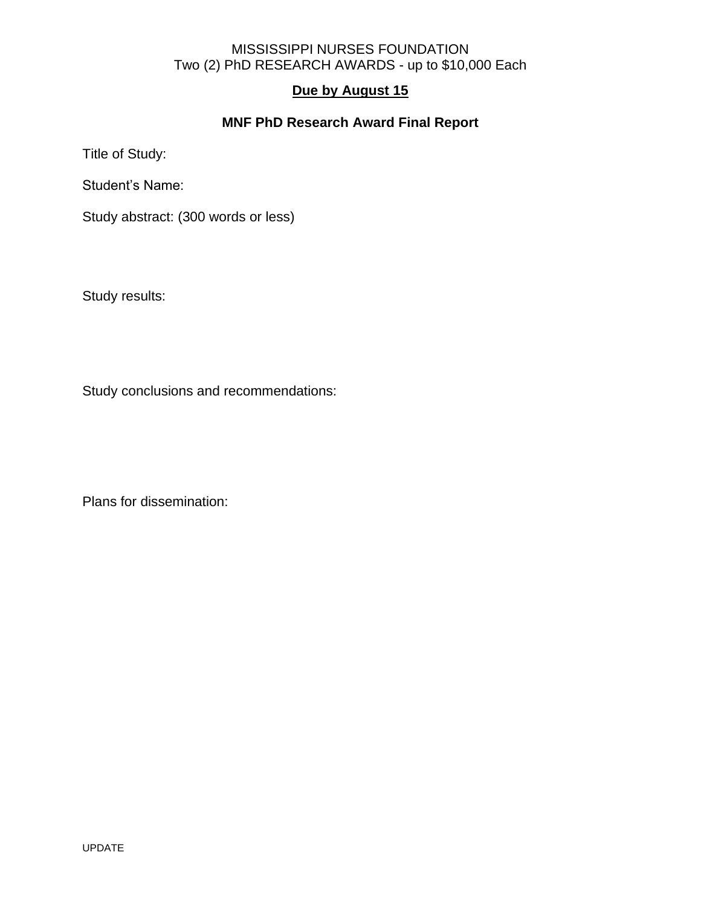# **Due by August 15**

# **MNF PhD Research Award Final Report**

Title of Study:

Student's Name:

Study abstract: (300 words or less)

Study results:

Study conclusions and recommendations:

Plans for dissemination: